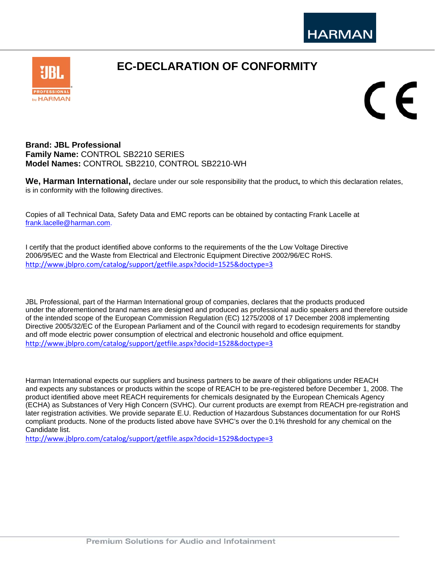

CE

## **Brand: JBL Professional Family Name:** CONTROL SB2210 SERIES **Model Names:** CONTROL SB2210, CONTROL SB2210-WH

**We, Harman International,** declare under our sole responsibility that the product**,** to which this declaration relates, is in conformity with the following directives.

**EC-DECLARATION OF CONFORMITY** 

Copies of all Technical Data, Safety Data and EMC reports can be obtained by contacting Frank Lacelle at frank.lacelle@harman.com.

I certify that the product identified above conforms to the requirements of the the Low Voltage Directive 2006/95/EC and the Waste from Electrical and Electronic Equipment Directive 2002/96/EC RoHS. http://www.jblpro.com/catalog/support/getfile.aspx?docid=1525&doctype=3

JBL Professional, part of the Harman International group of companies, declares that the products produced under the aforementioned brand names are designed and produced as professional audio speakers and therefore outside of the intended scope of the European Commission Regulation (EC) 1275/2008 of 17 December 2008 implementing Directive 2005/32/EC of the European Parliament and of the Council with regard to ecodesign requirements for standby and off mode electric power consumption of electrical and electronic household and office equipment. http://www.jblpro.com/catalog/support/getfile.aspx?docid=1528&doctype=3

Harman International expects our suppliers and business partners to be aware of their obligations under REACH and expects any substances or products within the scope of REACH to be pre-registered before December 1, 2008. The product identified above meet REACH requirements for chemicals designated by the European Chemicals Agency (ECHA) as Substances of Very High Concern (SVHC). Our current products are exempt from REACH pre-registration and later registration activities. We provide separate E.U. Reduction of Hazardous Substances documentation for our RoHS compliant products. None of the products listed above have SVHC's over the 0.1% threshold for any chemical on the Candidate list.

http://www.jblpro.com/catalog/support/getfile.aspx?docid=1529&doctype=3